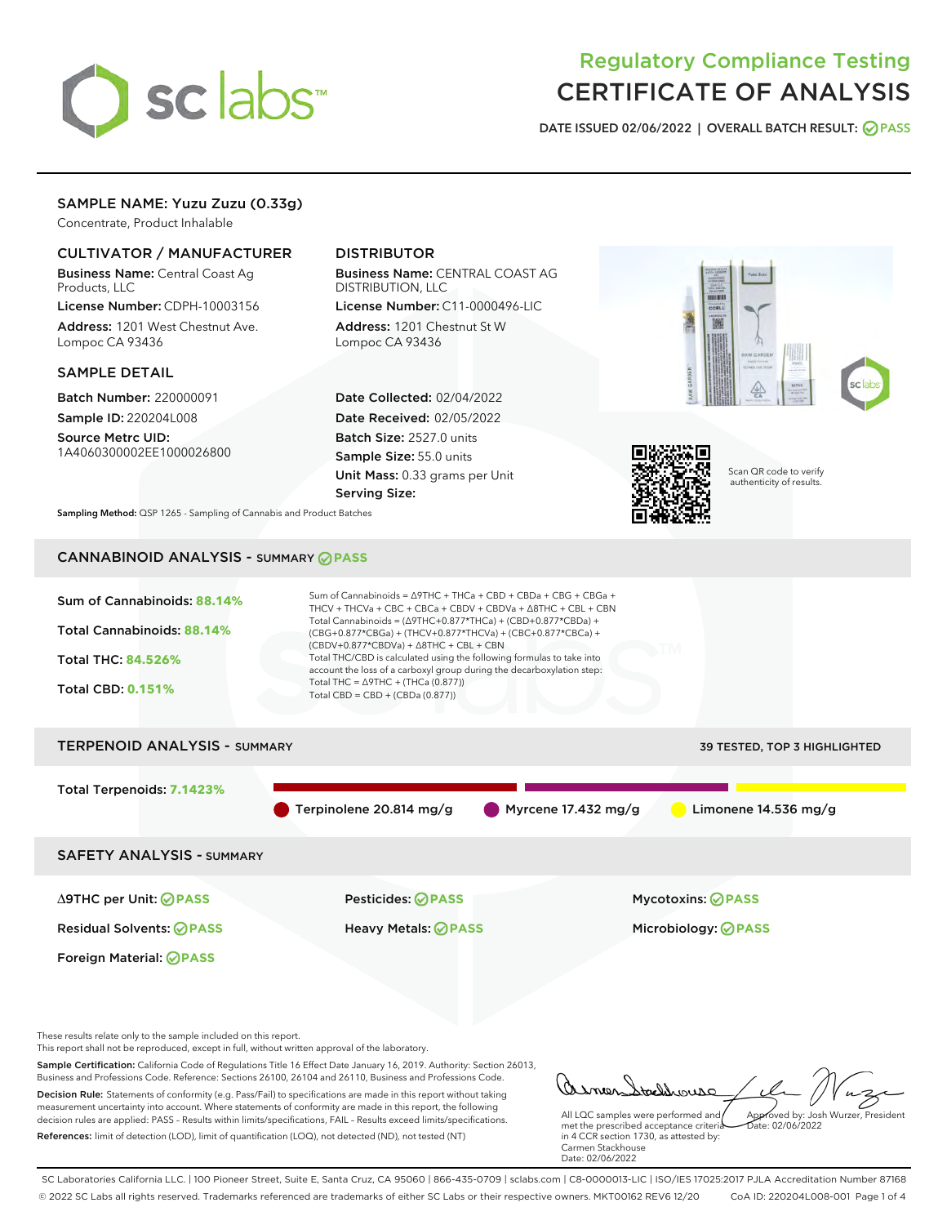# sclabs

# Regulatory Compliance Testing CERTIFICATE OF ANALYSIS

DATE ISSUED 02/06/2022 | OVERALL BATCH RESULT: @ PASS

# SAMPLE NAME: Yuzu Zuzu (0.33g)

Concentrate, Product Inhalable

# CULTIVATOR / MANUFACTURER

Business Name: Central Coast Ag Products, LLC

License Number: CDPH-10003156 Address: 1201 West Chestnut Ave. Lompoc CA 93436

#### SAMPLE DETAIL

Batch Number: 220000091 Sample ID: 220204L008

Source Metrc UID: 1A4060300002EE1000026800

# DISTRIBUTOR

Business Name: CENTRAL COAST AG DISTRIBUTION, LLC License Number: C11-0000496-LIC

Address: 1201 Chestnut St W Lompoc CA 93436

Date Collected: 02/04/2022 Date Received: 02/05/2022 Batch Size: 2527.0 units Sample Size: 55.0 units Unit Mass: 0.33 grams per Unit Serving Size:





Scan QR code to verify authenticity of results.

Sampling Method: QSP 1265 - Sampling of Cannabis and Product Batches

# CANNABINOID ANALYSIS - SUMMARY **PASS**



These results relate only to the sample included on this report.

This report shall not be reproduced, except in full, without written approval of the laboratory.

Sample Certification: California Code of Regulations Title 16 Effect Date January 16, 2019. Authority: Section 26013, Business and Professions Code. Reference: Sections 26100, 26104 and 26110, Business and Professions Code. Decision Rule: Statements of conformity (e.g. Pass/Fail) to specifications are made in this report without taking measurement uncertainty into account. Where statements of conformity are made in this report, the following decision rules are applied: PASS – Results within limits/specifications, FAIL – Results exceed limits/specifications.

References: limit of detection (LOD), limit of quantification (LOQ), not detected (ND), not tested (NT)

oddrouso Approved by: Josh Wurzer, President

 $ate: 02/06/2022$ 

All LQC samples were performed and met the prescribed acceptance criteria in 4 CCR section 1730, as attested by: Carmen Stackhouse Date: 02/06/2022

SC Laboratories California LLC. | 100 Pioneer Street, Suite E, Santa Cruz, CA 95060 | 866-435-0709 | sclabs.com | C8-0000013-LIC | ISO/IES 17025:2017 PJLA Accreditation Number 87168 © 2022 SC Labs all rights reserved. Trademarks referenced are trademarks of either SC Labs or their respective owners. MKT00162 REV6 12/20 CoA ID: 220204L008-001 Page 1 of 4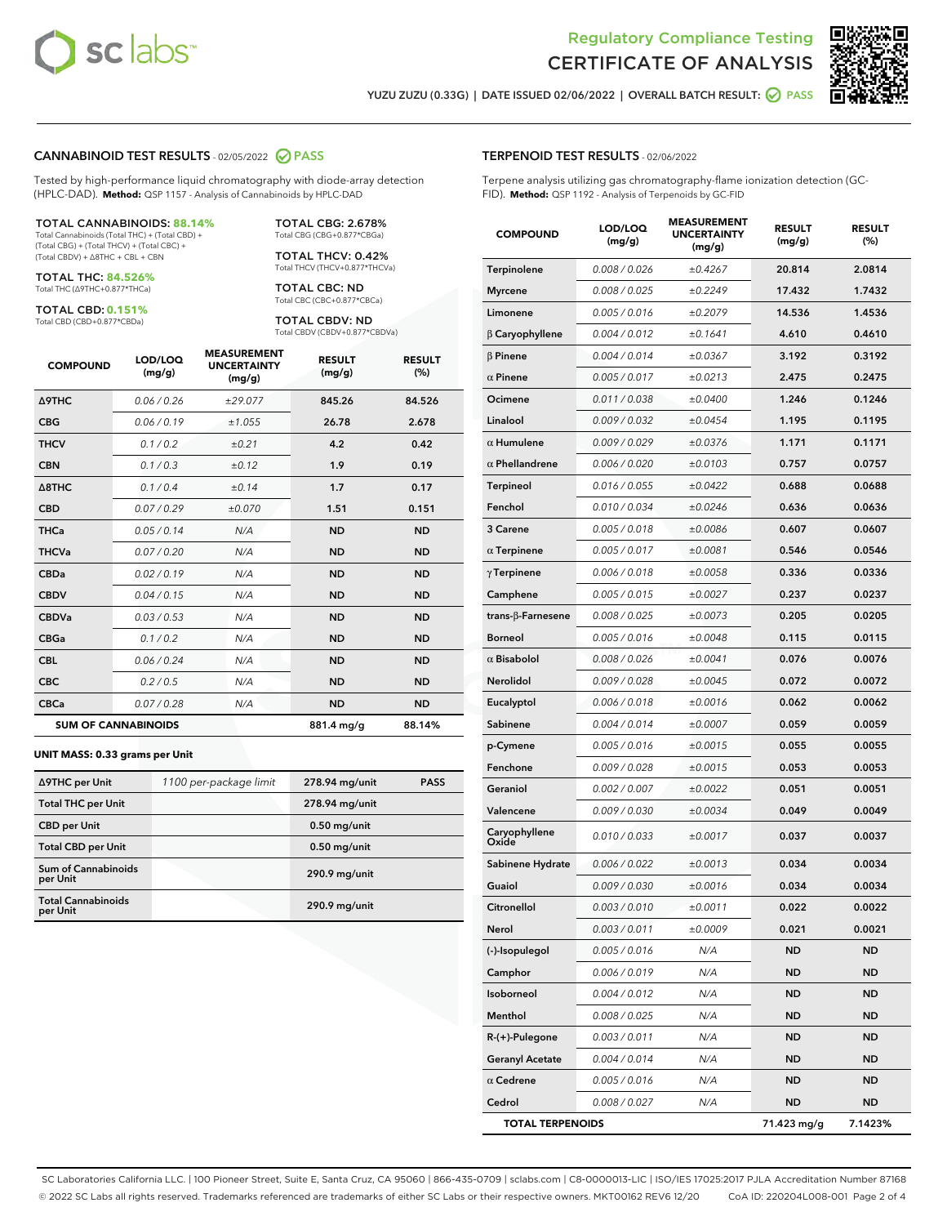



YUZU ZUZU (0.33G) | DATE ISSUED 02/06/2022 | OVERALL BATCH RESULT: ◯ PASS

#### CANNABINOID TEST RESULTS - 02/05/2022 2 PASS

Tested by high-performance liquid chromatography with diode-array detection (HPLC-DAD). **Method:** QSP 1157 - Analysis of Cannabinoids by HPLC-DAD

#### TOTAL CANNABINOIDS: **88.14%**

Total Cannabinoids (Total THC) + (Total CBD) + (Total CBG) + (Total THCV) + (Total CBC) + (Total CBDV) + ∆8THC + CBL + CBN

TOTAL THC: **84.526%** Total THC (∆9THC+0.877\*THCa)

TOTAL CBD: **0.151%** Total CBD (CBD+0.877\*CBDa)

TOTAL CBG: 2.678% Total CBG (CBG+0.877\*CBGa)

TOTAL THCV: 0.42% Total THCV (THCV+0.877\*THCVa)

TOTAL CBC: ND Total CBC (CBC+0.877\*CBCa)

TOTAL CBDV: ND Total CBDV (CBDV+0.877\*CBDVa)

| <b>COMPOUND</b>            | LOD/LOQ<br>(mg/g) | <b>MEASUREMENT</b><br><b>UNCERTAINTY</b><br>(mg/g) | <b>RESULT</b><br>(mg/g) | <b>RESULT</b><br>(%) |
|----------------------------|-------------------|----------------------------------------------------|-------------------------|----------------------|
| <b>A9THC</b>               | 0.06/0.26         | ±29.077                                            | 845.26                  | 84.526               |
| <b>CBG</b>                 | 0.06/0.19         | ±1.055                                             | 26.78                   | 2.678                |
| <b>THCV</b>                | 0.1/0.2           | ±0.21                                              | 4.2                     | 0.42                 |
| <b>CBN</b>                 | 0.1/0.3           | ±0.12                                              | 1.9                     | 0.19                 |
| $\triangle$ 8THC           | 0.1/0.4           | ±0.14                                              | 1.7                     | 0.17                 |
| <b>CBD</b>                 | 0.07/0.29         | ±0.070                                             | 1.51                    | 0.151                |
| <b>THCa</b>                | 0.05/0.14         | N/A                                                | <b>ND</b>               | <b>ND</b>            |
| <b>THCVa</b>               | 0.07/0.20         | N/A                                                | <b>ND</b>               | <b>ND</b>            |
| <b>CBDa</b>                | 0.02/0.19         | N/A                                                | <b>ND</b>               | <b>ND</b>            |
| <b>CBDV</b>                | 0.04/0.15         | N/A                                                | <b>ND</b>               | <b>ND</b>            |
| <b>CBDVa</b>               | 0.03 / 0.53       | N/A                                                | <b>ND</b>               | <b>ND</b>            |
| <b>CBGa</b>                | 0.1/0.2           | N/A                                                | <b>ND</b>               | <b>ND</b>            |
| <b>CBL</b>                 | 0.06 / 0.24       | N/A                                                | <b>ND</b>               | <b>ND</b>            |
| <b>CBC</b>                 | 0.2 / 0.5         | N/A                                                | <b>ND</b>               | <b>ND</b>            |
| <b>CBCa</b>                | 0.07/0.28         | N/A                                                | <b>ND</b>               | <b>ND</b>            |
| <b>SUM OF CANNABINOIDS</b> |                   |                                                    | 881.4 mg/g              | 88.14%               |

#### **UNIT MASS: 0.33 grams per Unit**

| ∆9THC per Unit                         | 1100 per-package limit | 278.94 mg/unit | <b>PASS</b> |
|----------------------------------------|------------------------|----------------|-------------|
| <b>Total THC per Unit</b>              |                        | 278.94 mg/unit |             |
| <b>CBD</b> per Unit                    |                        | $0.50$ mg/unit |             |
| <b>Total CBD per Unit</b>              |                        | $0.50$ mg/unit |             |
| <b>Sum of Cannabinoids</b><br>per Unit |                        | 290.9 mg/unit  |             |
| <b>Total Cannabinoids</b><br>per Unit  |                        | 290.9 mg/unit  |             |

| <b>COMPOUND</b>         | LOD/LOQ<br>(mg/g) | ASUREM<br><b>UNCERTAINTY</b><br>(mq/q) | <b>RESULT</b><br>(mg/g) | <b>RESULT</b><br>$(\%)$ |
|-------------------------|-------------------|----------------------------------------|-------------------------|-------------------------|
| Terpinolene             | 0.008 / 0.026     | ±0.4267                                | 20.814                  | 2.0814                  |
| <b>Myrcene</b>          | 0.008 / 0.025     | ±0.2249                                | 17.432                  | 1.7432                  |
| Limonene                | 0.005 / 0.016     | ±0.2079                                | 14.536                  | 1.4536                  |
| $\beta$ Caryophyllene   | 0.004 / 0.012     | ±0.1641                                | 4.610                   | 0.4610                  |
| $\beta$ Pinene          | 0.004 / 0.014     | ±0.0367                                | 3.192                   | 0.3192                  |
| $\alpha$ Pinene         | 0.005 / 0.017     | ±0.0213                                | 2.475                   | 0.2475                  |
| Ocimene                 | 0.011/0.038       | ±0.0400                                | 1.246                   | 0.1246                  |
| Linalool                | 0.009 / 0.032     | ±0.0454                                | 1.195                   | 0.1195                  |
| $\alpha$ Humulene       | 0.009 / 0.029     | ±0.0376                                | 1.171                   | 0.1171                  |
| $\alpha$ Phellandrene   | 0.006 / 0.020     | ±0.0103                                | 0.757                   | 0.0757                  |
| <b>Terpineol</b>        | 0.016 / 0.055     | ±0.0422                                | 0.688                   | 0.0688                  |
| Fenchol                 | 0.010 / 0.034     | ±0.0246                                | 0.636                   | 0.0636                  |
| 3 Carene                | 0.005 / 0.018     | ±0.0086                                | 0.607                   | 0.0607                  |
| $\alpha$ Terpinene      | 0.005 / 0.017     | ±0.0081                                | 0.546                   | 0.0546                  |
| $\gamma$ Terpinene      | 0.006 / 0.018     | ±0.0058                                | 0.336                   | 0.0336                  |
| Camphene                | 0.005 / 0.015     | ±0.0027                                | 0.237                   | 0.0237                  |
| trans-β-Farnesene       | 0.008 / 0.025     | ±0.0073                                | 0.205                   | 0.0205                  |
| <b>Borneol</b>          | 0.005 / 0.016     | ±0.0048                                | 0.115                   | 0.0115                  |
| $\alpha$ Bisabolol      | 0.008 / 0.026     | ±0.0041                                | 0.076                   | 0.0076                  |
| Nerolidol               | 0.009 / 0.028     | ±0.0045                                | 0.072                   | 0.0072                  |
| Eucalyptol              | 0.006 / 0.018     | ±0.0016                                | 0.062                   | 0.0062                  |
| Sabinene                | 0.004 / 0.014     | ±0.0007                                | 0.059                   | 0.0059                  |
| p-Cymene                | 0.005 / 0.016     | ±0.0015                                | 0.055                   | 0.0055                  |
| Fenchone                | 0.009 / 0.028     | ±0.0015                                | 0.053                   | 0.0053                  |
| Geraniol                | 0.002 / 0.007     | ±0.0022                                | 0.051                   | 0.0051                  |
| Valencene               | 0.009 / 0.030     | ±0.0034                                | 0.049                   | 0.0049                  |
| Caryophyllene<br>Oxide  | 0.010 / 0.033     | ±0.0017                                | 0.037                   | 0.0037                  |
| Sabinene Hydrate        | 0.006 / 0.022     | ±0.0013                                | 0.034                   | 0.0034                  |
| Guaiol                  | 0.009 / 0.030     | ±0.0016                                | 0.034                   | 0.0034                  |
| Citronellol             | 0.003 / 0.010     | ±0.0011                                | 0.022                   | 0.0022                  |
| Nerol                   | 0.003 / 0.011     | ±0.0009                                | 0.021                   | 0.0021                  |
| (-)-Isopulegol          | 0.005 / 0.016     | N/A                                    | ND                      | ND                      |
| Camphor                 | 0.006 / 0.019     | N/A                                    | <b>ND</b>               | ND                      |
| Isoborneol              | 0.004 / 0.012     | N/A                                    | ND                      | ND                      |
| Menthol                 | 0.008 / 0.025     | N/A                                    | ND                      | ND                      |
| R-(+)-Pulegone          | 0.003 / 0.011     | N/A                                    | ND                      | ND                      |
| <b>Geranyl Acetate</b>  | 0.004 / 0.014     | N/A                                    | ND                      | ND                      |
| $\alpha$ Cedrene        | 0.005 / 0.016     | N/A                                    | ND                      | ND                      |
| Cedrol                  | 0.008 / 0.027     | N/A                                    | ND                      | ND                      |
| <b>TOTAL TERPENOIDS</b> |                   |                                        | 71.423 mg/g             | 7.1423%                 |

SC Laboratories California LLC. | 100 Pioneer Street, Suite E, Santa Cruz, CA 95060 | 866-435-0709 | sclabs.com | C8-0000013-LIC | ISO/IES 17025:2017 PJLA Accreditation Number 87168 © 2022 SC Labs all rights reserved. Trademarks referenced are trademarks of either SC Labs or their respective owners. MKT00162 REV6 12/20 CoA ID: 220204L008-001 Page 2 of 4

# TERPENOID TEST RESULTS - 02/06/2022

Terpene analysis utilizing gas chromatography-flame ionization detection (GC-FID). **Method:** QSP 1192 - Analysis of Terpenoids by GC-FID

MEASUREMENT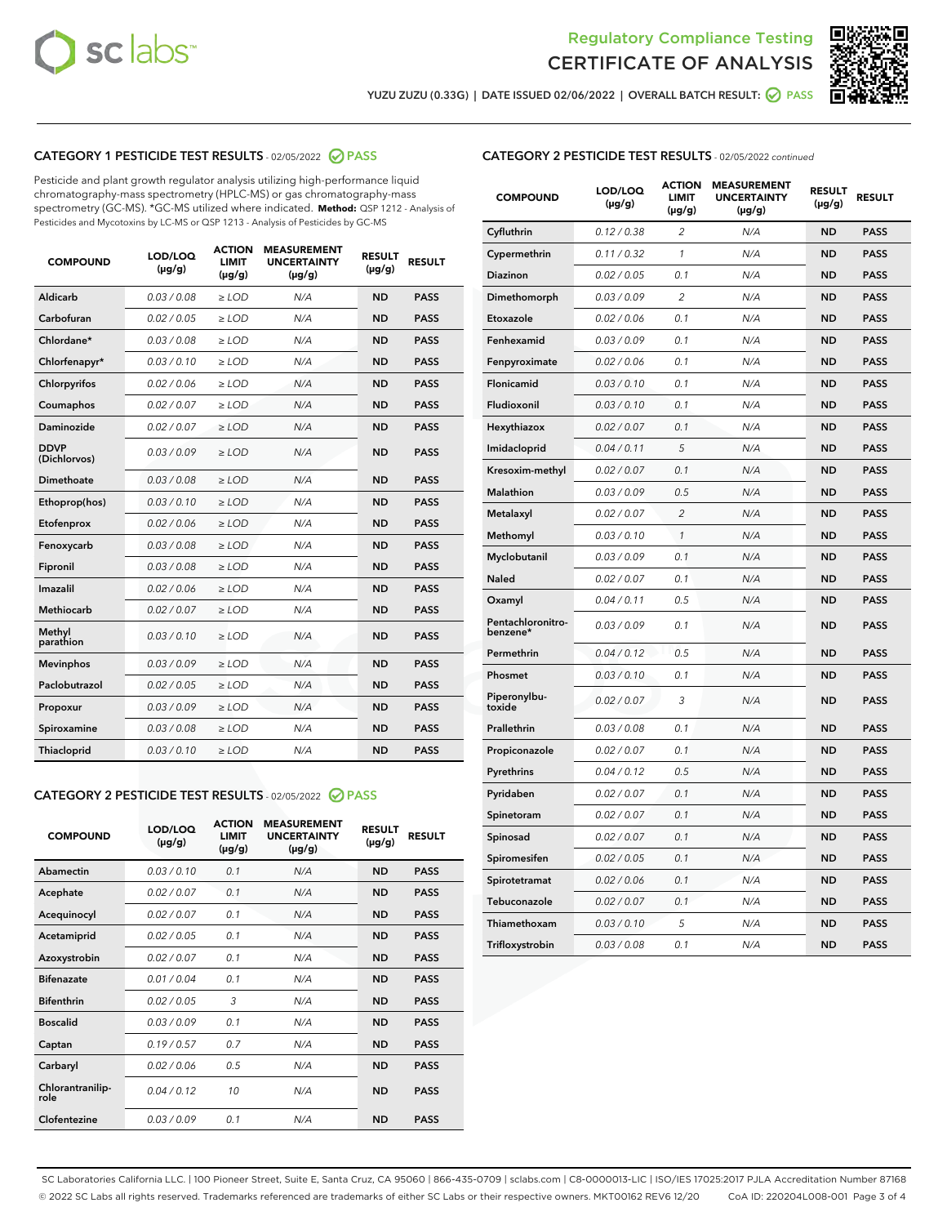



YUZU ZUZU (0.33G) | DATE ISSUED 02/06/2022 | OVERALL BATCH RESULT:  $\bigcirc$  PASS

### CATEGORY 1 PESTICIDE TEST RESULTS - 02/05/2022 2 PASS

Pesticide and plant growth regulator analysis utilizing high-performance liquid chromatography-mass spectrometry (HPLC-MS) or gas chromatography-mass spectrometry (GC-MS). \*GC-MS utilized where indicated. **Method:** QSP 1212 - Analysis of Pesticides and Mycotoxins by LC-MS or QSP 1213 - Analysis of Pesticides by GC-MS

| <b>Aldicarb</b><br>0.03 / 0.08<br><b>ND</b><br>$\ge$ LOD<br>N/A<br><b>PASS</b><br>Carbofuran<br>0.02/0.05<br>$\ge$ LOD<br>N/A<br><b>ND</b><br><b>PASS</b><br>Chlordane*<br>0.03 / 0.08<br><b>ND</b><br>$>$ LOD<br>N/A<br><b>PASS</b><br>0.03/0.10<br><b>ND</b><br><b>PASS</b><br>Chlorfenapyr*<br>$\ge$ LOD<br>N/A<br>0.02 / 0.06<br>N/A<br><b>ND</b><br><b>PASS</b><br>Chlorpyrifos<br>$\ge$ LOD<br>0.02 / 0.07<br>N/A<br><b>ND</b><br><b>PASS</b><br>Coumaphos<br>$>$ LOD<br>Daminozide<br>0.02 / 0.07<br>$\ge$ LOD<br>N/A<br><b>ND</b><br><b>PASS</b><br><b>DDVP</b><br>0.03/0.09<br>$\ge$ LOD<br>N/A<br><b>ND</b><br><b>PASS</b><br>(Dichlorvos)<br>Dimethoate<br><b>ND</b><br><b>PASS</b><br>0.03/0.08<br>$>$ LOD<br>N/A<br>Ethoprop(hos)<br>0.03/0.10<br>$\ge$ LOD<br>N/A<br><b>ND</b><br><b>PASS</b><br>0.02/0.06<br>$\ge$ LOD<br>N/A<br><b>ND</b><br><b>PASS</b><br>Etofenprox<br>Fenoxycarb<br>0.03/0.08<br>$>$ LOD<br>N/A<br><b>ND</b><br><b>PASS</b><br>0.03/0.08<br><b>ND</b><br><b>PASS</b><br>Fipronil<br>$\ge$ LOD<br>N/A<br>Imazalil<br>0.02 / 0.06<br>$>$ LOD<br>N/A<br><b>ND</b><br><b>PASS</b><br>0.02 / 0.07<br>Methiocarb<br>N/A<br><b>ND</b><br>$>$ LOD<br><b>PASS</b><br>Methyl<br>0.03/0.10<br>$\ge$ LOD<br>N/A<br><b>ND</b><br><b>PASS</b><br>parathion<br>0.03/0.09<br>$\ge$ LOD<br>N/A<br><b>ND</b><br><b>PASS</b><br><b>Mevinphos</b><br>Paclobutrazol<br>0.02 / 0.05<br>$\ge$ LOD<br>N/A<br><b>ND</b><br><b>PASS</b><br>0.03/0.09<br>N/A<br>$\ge$ LOD<br><b>ND</b><br><b>PASS</b><br>Propoxur<br>0.03/0.08<br><b>ND</b><br><b>PASS</b><br>Spiroxamine<br>$\ge$ LOD<br>N/A<br><b>PASS</b><br>Thiacloprid<br>0.03/0.10<br>$\ge$ LOD<br>N/A<br><b>ND</b> | <b>COMPOUND</b> | LOD/LOQ<br>$(\mu g/g)$ | <b>ACTION</b><br>LIMIT<br>$(\mu g/g)$ | <b>MEASUREMENT</b><br><b>UNCERTAINTY</b><br>$(\mu g/g)$ | <b>RESULT</b><br>$(\mu g/g)$ | <b>RESULT</b> |
|------------------------------------------------------------------------------------------------------------------------------------------------------------------------------------------------------------------------------------------------------------------------------------------------------------------------------------------------------------------------------------------------------------------------------------------------------------------------------------------------------------------------------------------------------------------------------------------------------------------------------------------------------------------------------------------------------------------------------------------------------------------------------------------------------------------------------------------------------------------------------------------------------------------------------------------------------------------------------------------------------------------------------------------------------------------------------------------------------------------------------------------------------------------------------------------------------------------------------------------------------------------------------------------------------------------------------------------------------------------------------------------------------------------------------------------------------------------------------------------------------------------------------------------------------------------------------------------------------------------------------------------------------------------------------------|-----------------|------------------------|---------------------------------------|---------------------------------------------------------|------------------------------|---------------|
|                                                                                                                                                                                                                                                                                                                                                                                                                                                                                                                                                                                                                                                                                                                                                                                                                                                                                                                                                                                                                                                                                                                                                                                                                                                                                                                                                                                                                                                                                                                                                                                                                                                                                    |                 |                        |                                       |                                                         |                              |               |
|                                                                                                                                                                                                                                                                                                                                                                                                                                                                                                                                                                                                                                                                                                                                                                                                                                                                                                                                                                                                                                                                                                                                                                                                                                                                                                                                                                                                                                                                                                                                                                                                                                                                                    |                 |                        |                                       |                                                         |                              |               |
|                                                                                                                                                                                                                                                                                                                                                                                                                                                                                                                                                                                                                                                                                                                                                                                                                                                                                                                                                                                                                                                                                                                                                                                                                                                                                                                                                                                                                                                                                                                                                                                                                                                                                    |                 |                        |                                       |                                                         |                              |               |
|                                                                                                                                                                                                                                                                                                                                                                                                                                                                                                                                                                                                                                                                                                                                                                                                                                                                                                                                                                                                                                                                                                                                                                                                                                                                                                                                                                                                                                                                                                                                                                                                                                                                                    |                 |                        |                                       |                                                         |                              |               |
|                                                                                                                                                                                                                                                                                                                                                                                                                                                                                                                                                                                                                                                                                                                                                                                                                                                                                                                                                                                                                                                                                                                                                                                                                                                                                                                                                                                                                                                                                                                                                                                                                                                                                    |                 |                        |                                       |                                                         |                              |               |
|                                                                                                                                                                                                                                                                                                                                                                                                                                                                                                                                                                                                                                                                                                                                                                                                                                                                                                                                                                                                                                                                                                                                                                                                                                                                                                                                                                                                                                                                                                                                                                                                                                                                                    |                 |                        |                                       |                                                         |                              |               |
|                                                                                                                                                                                                                                                                                                                                                                                                                                                                                                                                                                                                                                                                                                                                                                                                                                                                                                                                                                                                                                                                                                                                                                                                                                                                                                                                                                                                                                                                                                                                                                                                                                                                                    |                 |                        |                                       |                                                         |                              |               |
|                                                                                                                                                                                                                                                                                                                                                                                                                                                                                                                                                                                                                                                                                                                                                                                                                                                                                                                                                                                                                                                                                                                                                                                                                                                                                                                                                                                                                                                                                                                                                                                                                                                                                    |                 |                        |                                       |                                                         |                              |               |
|                                                                                                                                                                                                                                                                                                                                                                                                                                                                                                                                                                                                                                                                                                                                                                                                                                                                                                                                                                                                                                                                                                                                                                                                                                                                                                                                                                                                                                                                                                                                                                                                                                                                                    |                 |                        |                                       |                                                         |                              |               |
|                                                                                                                                                                                                                                                                                                                                                                                                                                                                                                                                                                                                                                                                                                                                                                                                                                                                                                                                                                                                                                                                                                                                                                                                                                                                                                                                                                                                                                                                                                                                                                                                                                                                                    |                 |                        |                                       |                                                         |                              |               |
|                                                                                                                                                                                                                                                                                                                                                                                                                                                                                                                                                                                                                                                                                                                                                                                                                                                                                                                                                                                                                                                                                                                                                                                                                                                                                                                                                                                                                                                                                                                                                                                                                                                                                    |                 |                        |                                       |                                                         |                              |               |
|                                                                                                                                                                                                                                                                                                                                                                                                                                                                                                                                                                                                                                                                                                                                                                                                                                                                                                                                                                                                                                                                                                                                                                                                                                                                                                                                                                                                                                                                                                                                                                                                                                                                                    |                 |                        |                                       |                                                         |                              |               |
|                                                                                                                                                                                                                                                                                                                                                                                                                                                                                                                                                                                                                                                                                                                                                                                                                                                                                                                                                                                                                                                                                                                                                                                                                                                                                                                                                                                                                                                                                                                                                                                                                                                                                    |                 |                        |                                       |                                                         |                              |               |
|                                                                                                                                                                                                                                                                                                                                                                                                                                                                                                                                                                                                                                                                                                                                                                                                                                                                                                                                                                                                                                                                                                                                                                                                                                                                                                                                                                                                                                                                                                                                                                                                                                                                                    |                 |                        |                                       |                                                         |                              |               |
|                                                                                                                                                                                                                                                                                                                                                                                                                                                                                                                                                                                                                                                                                                                                                                                                                                                                                                                                                                                                                                                                                                                                                                                                                                                                                                                                                                                                                                                                                                                                                                                                                                                                                    |                 |                        |                                       |                                                         |                              |               |
|                                                                                                                                                                                                                                                                                                                                                                                                                                                                                                                                                                                                                                                                                                                                                                                                                                                                                                                                                                                                                                                                                                                                                                                                                                                                                                                                                                                                                                                                                                                                                                                                                                                                                    |                 |                        |                                       |                                                         |                              |               |
|                                                                                                                                                                                                                                                                                                                                                                                                                                                                                                                                                                                                                                                                                                                                                                                                                                                                                                                                                                                                                                                                                                                                                                                                                                                                                                                                                                                                                                                                                                                                                                                                                                                                                    |                 |                        |                                       |                                                         |                              |               |
|                                                                                                                                                                                                                                                                                                                                                                                                                                                                                                                                                                                                                                                                                                                                                                                                                                                                                                                                                                                                                                                                                                                                                                                                                                                                                                                                                                                                                                                                                                                                                                                                                                                                                    |                 |                        |                                       |                                                         |                              |               |
|                                                                                                                                                                                                                                                                                                                                                                                                                                                                                                                                                                                                                                                                                                                                                                                                                                                                                                                                                                                                                                                                                                                                                                                                                                                                                                                                                                                                                                                                                                                                                                                                                                                                                    |                 |                        |                                       |                                                         |                              |               |
|                                                                                                                                                                                                                                                                                                                                                                                                                                                                                                                                                                                                                                                                                                                                                                                                                                                                                                                                                                                                                                                                                                                                                                                                                                                                                                                                                                                                                                                                                                                                                                                                                                                                                    |                 |                        |                                       |                                                         |                              |               |
|                                                                                                                                                                                                                                                                                                                                                                                                                                                                                                                                                                                                                                                                                                                                                                                                                                                                                                                                                                                                                                                                                                                                                                                                                                                                                                                                                                                                                                                                                                                                                                                                                                                                                    |                 |                        |                                       |                                                         |                              |               |

#### CATEGORY 2 PESTICIDE TEST RESULTS - 02/05/2022 2 PASS

| <b>COMPOUND</b>          | LOD/LOO<br>$(\mu g/g)$ | <b>ACTION</b><br>LIMIT<br>$(\mu g/g)$ | <b>MEASUREMENT</b><br><b>UNCERTAINTY</b><br>$(\mu g/g)$ | <b>RESULT</b><br>$(\mu g/g)$ | <b>RESULT</b> |  |
|--------------------------|------------------------|---------------------------------------|---------------------------------------------------------|------------------------------|---------------|--|
| Abamectin                | 0.03/0.10              | 0.1                                   | N/A                                                     | <b>ND</b>                    | <b>PASS</b>   |  |
| Acephate                 | 0.02/0.07              | 0.1                                   | N/A                                                     | <b>ND</b>                    | <b>PASS</b>   |  |
| Acequinocyl              | 0.02/0.07              | 0.1                                   | N/A                                                     | <b>ND</b>                    | <b>PASS</b>   |  |
| Acetamiprid              | 0.02 / 0.05            | 0.1                                   | N/A                                                     | <b>ND</b>                    | <b>PASS</b>   |  |
| Azoxystrobin             | 0.02/0.07              | 0.1                                   | N/A                                                     | <b>ND</b>                    | <b>PASS</b>   |  |
| <b>Bifenazate</b>        | 0.01 / 0.04            | 0.1                                   | N/A                                                     | <b>ND</b>                    | <b>PASS</b>   |  |
| <b>Bifenthrin</b>        | 0.02/0.05              | 3                                     | N/A                                                     | <b>ND</b>                    | <b>PASS</b>   |  |
| <b>Boscalid</b>          | 0.03/0.09              | 0.1                                   | N/A                                                     | <b>ND</b>                    | <b>PASS</b>   |  |
| Captan                   | 0.19/0.57              | 0.7                                   | N/A                                                     | <b>ND</b>                    | <b>PASS</b>   |  |
| Carbaryl                 | 0.02/0.06              | 0.5                                   | N/A                                                     | <b>ND</b>                    | <b>PASS</b>   |  |
| Chlorantranilip-<br>role | 0.04/0.12              | 10                                    | N/A                                                     | <b>ND</b>                    | <b>PASS</b>   |  |
| Clofentezine             | 0.03/0.09              | 0.1                                   | N/A                                                     | <b>ND</b>                    | <b>PASS</b>   |  |

| <b>CATEGORY 2 PESTICIDE TEST RESULTS</b> - 02/05/2022 continued |  |
|-----------------------------------------------------------------|--|
|                                                                 |  |

| <b>COMPOUND</b>               | LOD/LOQ<br>(µg/g) | <b>ACTION</b><br>LIMIT<br>(µg/g) | <b>MEASUREMENT</b><br><b>UNCERTAINTY</b><br>(µg/g) | <b>RESULT</b><br>(µg/g) | <b>RESULT</b> |
|-------------------------------|-------------------|----------------------------------|----------------------------------------------------|-------------------------|---------------|
| Cyfluthrin                    | 0.12 / 0.38       | $\overline{c}$                   | N/A                                                | <b>ND</b>               | <b>PASS</b>   |
| Cypermethrin                  | 0.11/0.32         | 1                                | N/A                                                | <b>ND</b>               | <b>PASS</b>   |
| <b>Diazinon</b>               | 0.02 / 0.05       | 0.1                              | N/A                                                | <b>ND</b>               | <b>PASS</b>   |
| Dimethomorph                  | 0.03 / 0.09       | 2                                | N/A                                                | <b>ND</b>               | <b>PASS</b>   |
| Etoxazole                     | 0.02 / 0.06       | 0.1                              | N/A                                                | <b>ND</b>               | <b>PASS</b>   |
| Fenhexamid                    | 0.03 / 0.09       | 0.1                              | N/A                                                | <b>ND</b>               | <b>PASS</b>   |
| Fenpyroximate                 | 0.02 / 0.06       | 0.1                              | N/A                                                | <b>ND</b>               | <b>PASS</b>   |
| Flonicamid                    | 0.03 / 0.10       | 0.1                              | N/A                                                | <b>ND</b>               | <b>PASS</b>   |
| Fludioxonil                   | 0.03/0.10         | 0.1                              | N/A                                                | <b>ND</b>               | <b>PASS</b>   |
| Hexythiazox                   | 0.02 / 0.07       | 0.1                              | N/A                                                | <b>ND</b>               | <b>PASS</b>   |
| Imidacloprid                  | 0.04 / 0.11       | 5                                | N/A                                                | <b>ND</b>               | <b>PASS</b>   |
| Kresoxim-methyl               | 0.02 / 0.07       | 0.1                              | N/A                                                | <b>ND</b>               | <b>PASS</b>   |
| Malathion                     | 0.03 / 0.09       | 0.5                              | N/A                                                | <b>ND</b>               | <b>PASS</b>   |
| Metalaxyl                     | 0.02 / 0.07       | $\overline{c}$                   | N/A                                                | <b>ND</b>               | <b>PASS</b>   |
| Methomyl                      | 0.03 / 0.10       | 1                                | N/A                                                | <b>ND</b>               | <b>PASS</b>   |
| Myclobutanil                  | 0.03/0.09         | 0.1                              | N/A                                                | <b>ND</b>               | <b>PASS</b>   |
| Naled                         | 0.02 / 0.07       | 0.1                              | N/A                                                | <b>ND</b>               | <b>PASS</b>   |
| Oxamyl                        | 0.04 / 0.11       | 0.5                              | N/A                                                | <b>ND</b>               | <b>PASS</b>   |
| Pentachloronitro-<br>benzene* | 0.03/0.09         | 0.1                              | N/A                                                | <b>ND</b>               | <b>PASS</b>   |
| Permethrin                    | 0.04 / 0.12       | 0.5                              | N/A                                                | <b>ND</b>               | <b>PASS</b>   |
| Phosmet                       | 0.03 / 0.10       | 0.1                              | N/A                                                | <b>ND</b>               | <b>PASS</b>   |
| Piperonylbu-<br>toxide        | 0.02 / 0.07       | 3                                | N/A                                                | <b>ND</b>               | <b>PASS</b>   |
| Prallethrin                   | 0.03 / 0.08       | 0.1                              | N/A                                                | <b>ND</b>               | <b>PASS</b>   |
| Propiconazole                 | 0.02 / 0.07       | 0.1                              | N/A                                                | <b>ND</b>               | <b>PASS</b>   |
| Pyrethrins                    | 0.04 / 0.12       | 0.5                              | N/A                                                | <b>ND</b>               | <b>PASS</b>   |
| Pyridaben                     | 0.02 / 0.07       | 0.1                              | N/A                                                | <b>ND</b>               | <b>PASS</b>   |
| Spinetoram                    | 0.02 / 0.07       | 0.1                              | N/A                                                | <b>ND</b>               | <b>PASS</b>   |
| Spinosad                      | 0.02 / 0.07       | 0.1                              | N/A                                                | <b>ND</b>               | <b>PASS</b>   |
| Spiromesifen                  | 0.02 / 0.05       | 0.1                              | N/A                                                | <b>ND</b>               | <b>PASS</b>   |
| Spirotetramat                 | 0.02 / 0.06       | 0.1                              | N/A                                                | <b>ND</b>               | <b>PASS</b>   |
| Tebuconazole                  | 0.02 / 0.07       | 0.1                              | N/A                                                | <b>ND</b>               | <b>PASS</b>   |
| Thiamethoxam                  | 0.03 / 0.10       | 5                                | N/A                                                | <b>ND</b>               | <b>PASS</b>   |
| Trifloxystrobin               | 0.03 / 0.08       | 0.1                              | N/A                                                | <b>ND</b>               | <b>PASS</b>   |

SC Laboratories California LLC. | 100 Pioneer Street, Suite E, Santa Cruz, CA 95060 | 866-435-0709 | sclabs.com | C8-0000013-LIC | ISO/IES 17025:2017 PJLA Accreditation Number 87168 © 2022 SC Labs all rights reserved. Trademarks referenced are trademarks of either SC Labs or their respective owners. MKT00162 REV6 12/20 CoA ID: 220204L008-001 Page 3 of 4